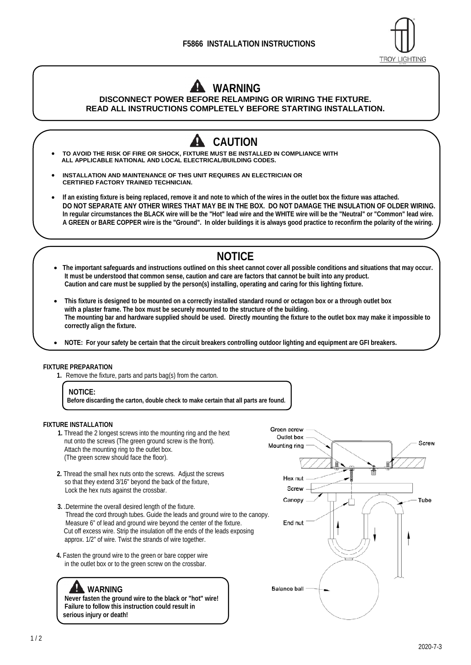

## **WARNING**

**DISCONNECT POWER BEFORE RELAMPING OR WIRING THE FIXTURE. READ ALL INSTRUCTIONS COMPLETELY BEFORE STARTING INSTALLATION.**

- **CAUTION TO AVOID THE RISK OF FIRE OR SHOCK, FIXTURE MUST BE INSTALLED IN COMPLIANCE WITH ALL APPLICABLE NATIONAL AND LOCAL ELECTRICAL/BUILDING CODES. INSTALLATION AND MAINTENANCE OF THIS UNIT REQUIRES AN ELECTRICIAN OR CERTIFIED FACTORY TRAINED TECHNICIAN. If an existing fixture is being replaced, remove it and note to which of the wires in the outlet box the fixture was attached. DO NOT SEPARATE ANY OTHER WIRES THAT MAY BE IN THE BOX. DO NOT DAMAGE THE INSULATION OF OLDER WIRING. In regular circumstances the BLACK wire will be the "Hot" lead wire and the WHITE wire will be the "Neutral" or "Common" lead wire. A GREEN or BARE COPPER wire is the "Ground". In older buildings it is always good practice to reconfirm the polarity of the wiring. NOTICE** 
	- **The important safeguards and instructions outlined on this sheet cannot cover all possible conditions and situations that may occur. It must be understood that common sense, caution and care are factors that cannot be built into any product. Caution and care must be supplied by the person(s) installing, operating and caring for this lighting fixture.**
	- **This fixture is designed to be mounted on a correctly installed standard round or octagon box or a through outlet box with a plaster frame. The box must be securely mounted to the structure of the building. The mounting bar and hardware supplied should be used. Directly mounting the fixture to the outlet box may make it impossible to correctly align the fixture.**
	- **NOTE: For your safety be certain that the circuit breakers controlling outdoor lighting and equipment are GFI breakers.**

## **FIXTURE PREPARATION**

**1.** Remove the fixture, parts and parts bag(s) from the carton.

**Before discarding the carton, double check to make certain that all parts are found.** 

## **FIXTURE INSTALLATION**

- **1.** Thread the 2 longest screws into the mounting ring and the hext nut onto the screws (The green ground screw is the front). Attach the mounting ring to the outlet box. (The green screw should face the floor).
- **2.** Thread the small hex nuts onto the screws. Adjust the screws so that they extend 3/16" beyond the back of the fixture, Lock the hex nuts against the crossbar.
- **3.** .Determine the overall desired length of the fixture. Thread the cord through tubes. Guide the leads and ground wire to the canopy. Measure 6" of lead and ground wire beyond the center of the fixture. Cut off excess wire. Strip the insulation off the ends of the leads exposing approx. 1/2" of wire. Twist the strands of wire together.
- **4.** Fasten the ground wire to the green or bare copper wire in the outlet box or to the green screw on the crossbar.

## **WARNING**

**Never fasten the ground wire to the black or "hot" wire! Failure to follow this instruction could result in serious injury or death!** 



**NOTICE:**